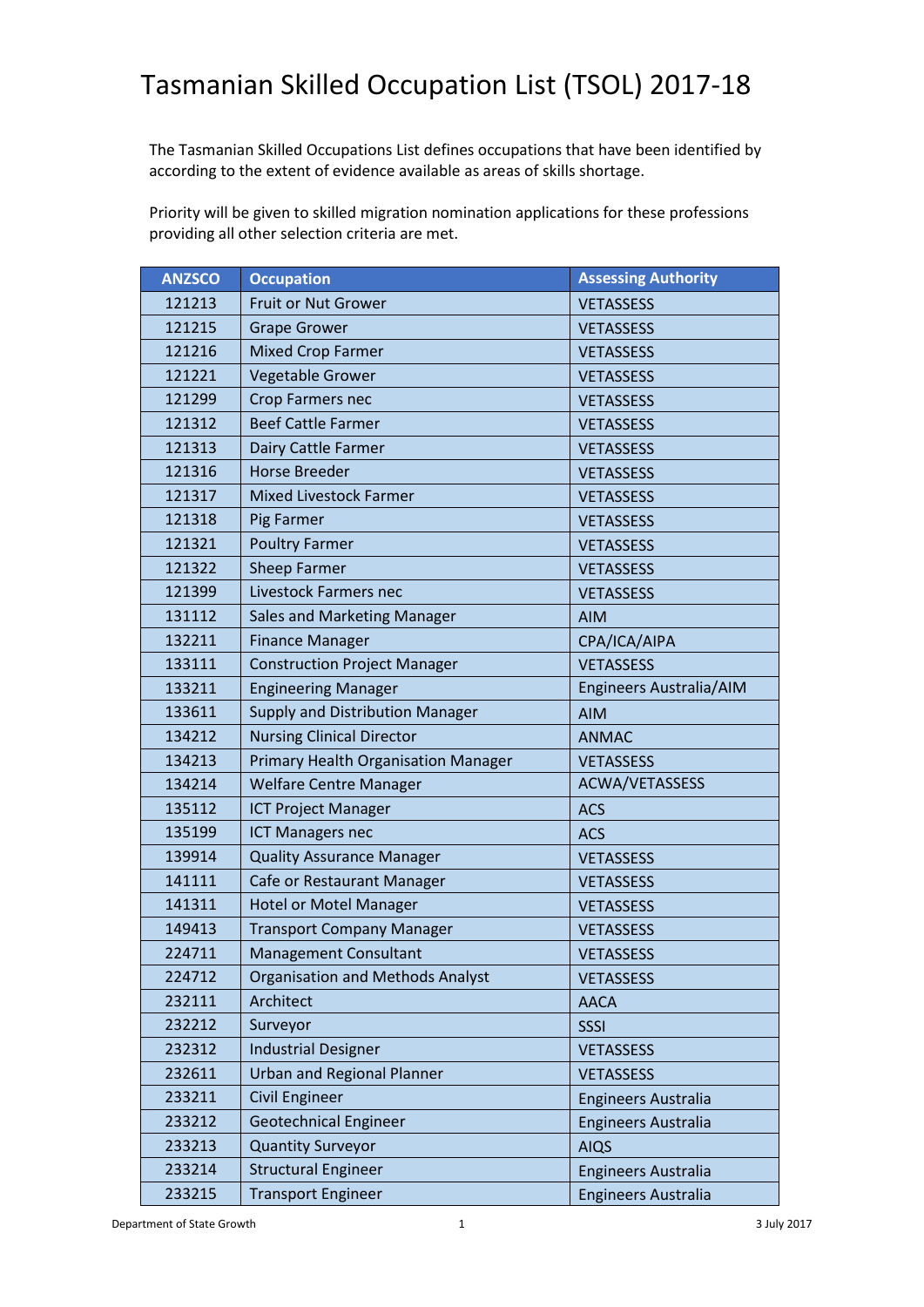## Tasmanian Skilled Occupation List (TSOL) 2017-18

The Tasmanian Skilled Occupations List defines occupations that have been identified by according to the extent of evidence available as areas of skills shortage.

Priority will be given to skilled migration nomination applications for these professions providing all other selection criteria are met.

| <b>ANZSCO</b> | <b>Occupation</b>                       | <b>Assessing Authority</b> |
|---------------|-----------------------------------------|----------------------------|
| 121213        | <b>Fruit or Nut Grower</b>              | <b>VETASSESS</b>           |
| 121215        | <b>Grape Grower</b>                     | <b>VETASSESS</b>           |
| 121216        | <b>Mixed Crop Farmer</b>                | <b>VETASSESS</b>           |
| 121221        | Vegetable Grower                        | <b>VETASSESS</b>           |
| 121299        | Crop Farmers nec                        | <b>VETASSESS</b>           |
| 121312        | <b>Beef Cattle Farmer</b>               | <b>VETASSESS</b>           |
| 121313        | Dairy Cattle Farmer                     | <b>VETASSESS</b>           |
| 121316        | <b>Horse Breeder</b>                    | <b>VETASSESS</b>           |
| 121317        | <b>Mixed Livestock Farmer</b>           | <b>VETASSESS</b>           |
| 121318        | Pig Farmer                              | <b>VETASSESS</b>           |
| 121321        | <b>Poultry Farmer</b>                   | <b>VETASSESS</b>           |
| 121322        | <b>Sheep Farmer</b>                     | <b>VETASSESS</b>           |
| 121399        | Livestock Farmers nec                   | <b>VETASSESS</b>           |
| 131112        | <b>Sales and Marketing Manager</b>      | <b>AIM</b>                 |
| 132211        | <b>Finance Manager</b>                  | CPA/ICA/AIPA               |
| 133111        | <b>Construction Project Manager</b>     | <b>VETASSESS</b>           |
| 133211        | <b>Engineering Manager</b>              | Engineers Australia/AIM    |
| 133611        | <b>Supply and Distribution Manager</b>  | <b>AIM</b>                 |
| 134212        | <b>Nursing Clinical Director</b>        | <b>ANMAC</b>               |
| 134213        | Primary Health Organisation Manager     | <b>VETASSESS</b>           |
| 134214        | <b>Welfare Centre Manager</b>           | ACWA/VETASSESS             |
| 135112        | <b>ICT Project Manager</b>              | <b>ACS</b>                 |
| 135199        | <b>ICT Managers nec</b>                 | <b>ACS</b>                 |
| 139914        | <b>Quality Assurance Manager</b>        | <b>VETASSESS</b>           |
| 141111        | Cafe or Restaurant Manager              | <b>VETASSESS</b>           |
| 141311        | <b>Hotel or Motel Manager</b>           | <b>VETASSESS</b>           |
| 149413        | <b>Transport Company Manager</b>        | <b>VETASSESS</b>           |
| 224711        | <b>Management Consultant</b>            | <b>VETASSESS</b>           |
| 224712        | <b>Organisation and Methods Analyst</b> | <b>VETASSESS</b>           |
| 232111        | Architect                               | <b>AACA</b>                |
| 232212        | Surveyor                                | SSSI                       |
| 232312        | <b>Industrial Designer</b>              | <b>VETASSESS</b>           |
| 232611        | <b>Urban and Regional Planner</b>       | <b>VETASSESS</b>           |
| 233211        | Civil Engineer                          | <b>Engineers Australia</b> |
| 233212        | <b>Geotechnical Engineer</b>            | <b>Engineers Australia</b> |
| 233213        | <b>Quantity Surveyor</b>                | <b>AIQS</b>                |
| 233214        | <b>Structural Engineer</b>              | <b>Engineers Australia</b> |
| 233215        | <b>Transport Engineer</b>               | <b>Engineers Australia</b> |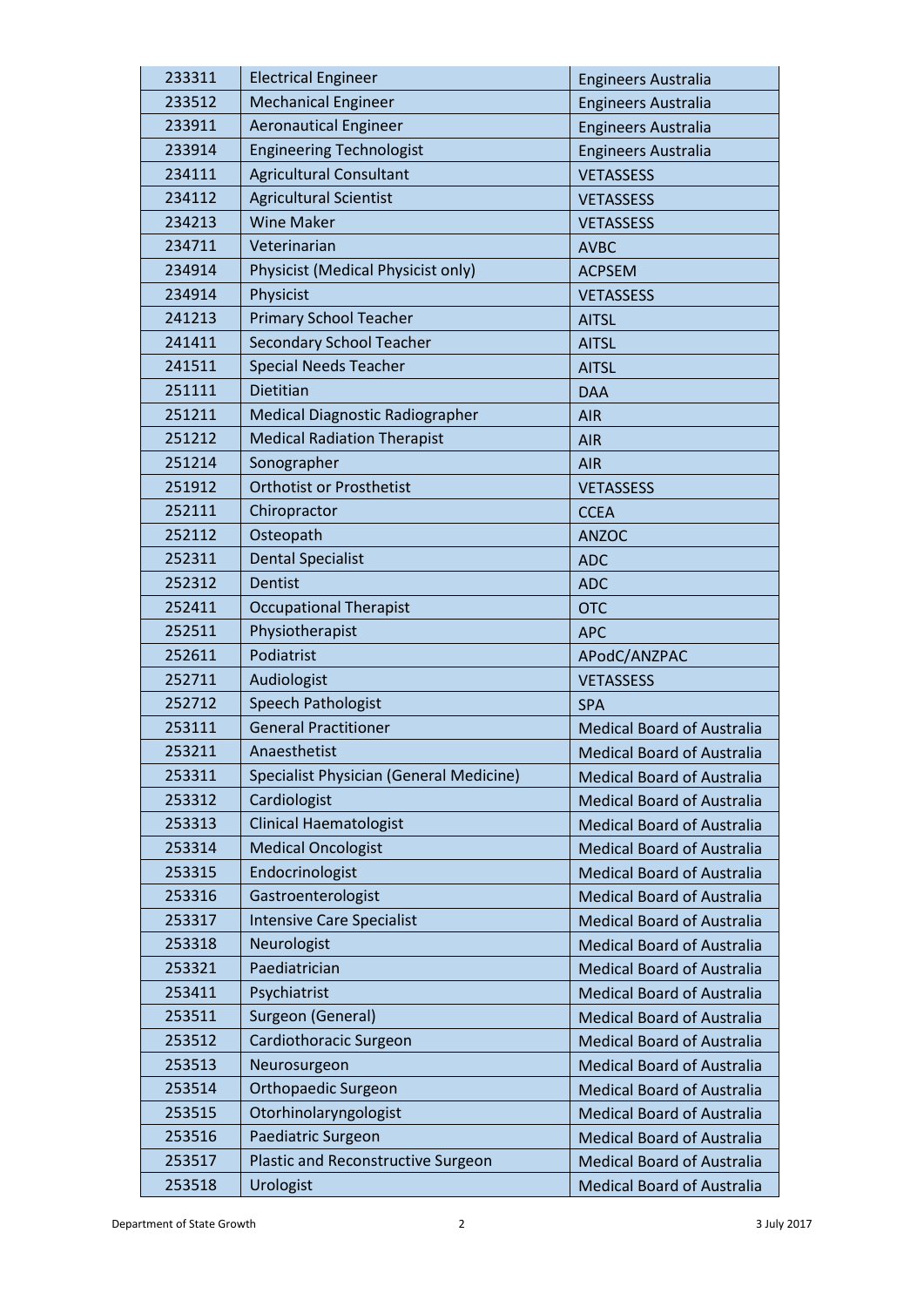| 233311 | <b>Electrical Engineer</b>              | <b>Engineers Australia</b>        |
|--------|-----------------------------------------|-----------------------------------|
| 233512 | <b>Mechanical Engineer</b>              | <b>Engineers Australia</b>        |
| 233911 | <b>Aeronautical Engineer</b>            | <b>Engineers Australia</b>        |
| 233914 | <b>Engineering Technologist</b>         | <b>Engineers Australia</b>        |
| 234111 | <b>Agricultural Consultant</b>          | <b>VETASSESS</b>                  |
| 234112 | <b>Agricultural Scientist</b>           | <b>VETASSESS</b>                  |
| 234213 | <b>Wine Maker</b>                       | <b>VETASSESS</b>                  |
| 234711 | Veterinarian                            | <b>AVBC</b>                       |
| 234914 | Physicist (Medical Physicist only)      | <b>ACPSEM</b>                     |
| 234914 | Physicist                               | <b>VETASSESS</b>                  |
| 241213 | <b>Primary School Teacher</b>           | <b>AITSL</b>                      |
| 241411 | <b>Secondary School Teacher</b>         | <b>AITSL</b>                      |
| 241511 | <b>Special Needs Teacher</b>            | <b>AITSL</b>                      |
| 251111 | Dietitian                               | <b>DAA</b>                        |
| 251211 | Medical Diagnostic Radiographer         | <b>AIR</b>                        |
| 251212 | <b>Medical Radiation Therapist</b>      | <b>AIR</b>                        |
| 251214 | Sonographer                             | <b>AIR</b>                        |
| 251912 | <b>Orthotist or Prosthetist</b>         | <b>VETASSESS</b>                  |
| 252111 | Chiropractor                            | <b>CCEA</b>                       |
| 252112 | Osteopath                               | <b>ANZOC</b>                      |
| 252311 | <b>Dental Specialist</b>                | <b>ADC</b>                        |
| 252312 | <b>Dentist</b>                          | <b>ADC</b>                        |
| 252411 | <b>Occupational Therapist</b>           | <b>OTC</b>                        |
| 252511 | Physiotherapist                         | <b>APC</b>                        |
| 252611 | Podiatrist                              | APodC/ANZPAC                      |
| 252711 | Audiologist                             | <b>VETASSESS</b>                  |
| 252712 | Speech Pathologist                      | <b>SPA</b>                        |
| 253111 | <b>General Practitioner</b>             | <b>Medical Board of Australia</b> |
| 253211 | Anaesthetist                            | <b>Medical Board of Australia</b> |
| 253311 | Specialist Physician (General Medicine) | <b>Medical Board of Australia</b> |
| 253312 | Cardiologist                            | <b>Medical Board of Australia</b> |
| 253313 | <b>Clinical Haematologist</b>           | <b>Medical Board of Australia</b> |
| 253314 | <b>Medical Oncologist</b>               | <b>Medical Board of Australia</b> |
| 253315 | Endocrinologist                         | <b>Medical Board of Australia</b> |
| 253316 | Gastroenterologist                      | <b>Medical Board of Australia</b> |
| 253317 | <b>Intensive Care Specialist</b>        | <b>Medical Board of Australia</b> |
| 253318 | Neurologist                             | <b>Medical Board of Australia</b> |
| 253321 | Paediatrician                           | <b>Medical Board of Australia</b> |
| 253411 | Psychiatrist                            | <b>Medical Board of Australia</b> |
| 253511 | Surgeon (General)                       | <b>Medical Board of Australia</b> |
| 253512 | Cardiothoracic Surgeon                  | <b>Medical Board of Australia</b> |
| 253513 | Neurosurgeon                            | <b>Medical Board of Australia</b> |
| 253514 | <b>Orthopaedic Surgeon</b>              | <b>Medical Board of Australia</b> |
| 253515 | Otorhinolaryngologist                   | <b>Medical Board of Australia</b> |
| 253516 | Paediatric Surgeon                      | <b>Medical Board of Australia</b> |
| 253517 | Plastic and Reconstructive Surgeon      | <b>Medical Board of Australia</b> |
| 253518 | Urologist                               | <b>Medical Board of Australia</b> |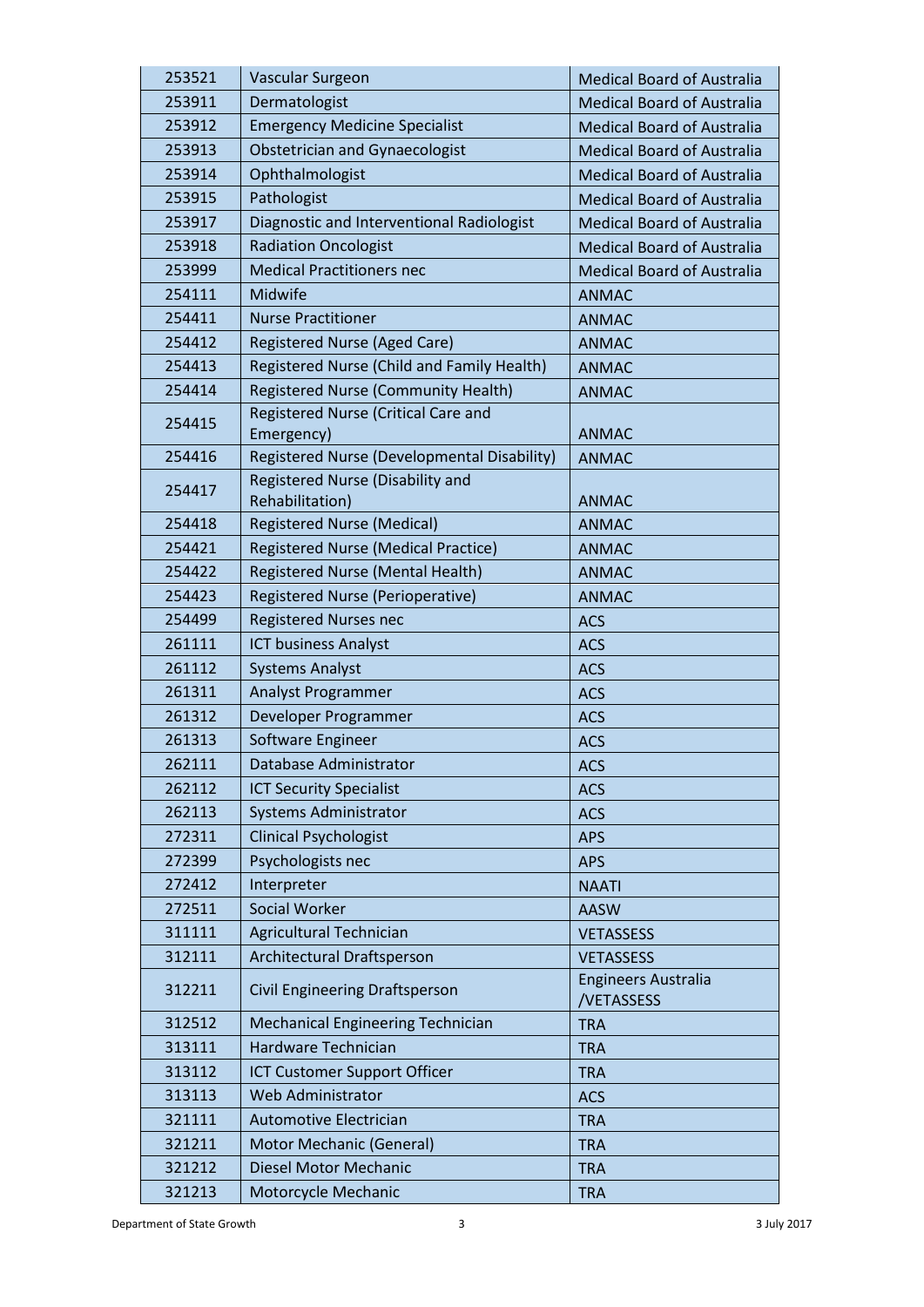| 253521 | Vascular Surgeon                                    | <b>Medical Board of Australia</b>        |
|--------|-----------------------------------------------------|------------------------------------------|
| 253911 | Dermatologist                                       | <b>Medical Board of Australia</b>        |
| 253912 | <b>Emergency Medicine Specialist</b>                | <b>Medical Board of Australia</b>        |
| 253913 | <b>Obstetrician and Gynaecologist</b>               | <b>Medical Board of Australia</b>        |
| 253914 | Ophthalmologist                                     | <b>Medical Board of Australia</b>        |
| 253915 | Pathologist                                         | <b>Medical Board of Australia</b>        |
| 253917 | Diagnostic and Interventional Radiologist           | <b>Medical Board of Australia</b>        |
| 253918 | <b>Radiation Oncologist</b>                         | <b>Medical Board of Australia</b>        |
| 253999 | <b>Medical Practitioners nec</b>                    | <b>Medical Board of Australia</b>        |
| 254111 | Midwife                                             | <b>ANMAC</b>                             |
| 254411 | <b>Nurse Practitioner</b>                           | <b>ANMAC</b>                             |
| 254412 | Registered Nurse (Aged Care)                        | <b>ANMAC</b>                             |
| 254413 | Registered Nurse (Child and Family Health)          | <b>ANMAC</b>                             |
| 254414 | <b>Registered Nurse (Community Health)</b>          | <b>ANMAC</b>                             |
| 254415 | Registered Nurse (Critical Care and                 |                                          |
|        | Emergency)                                          | <b>ANMAC</b>                             |
| 254416 | Registered Nurse (Developmental Disability)         | <b>ANMAC</b>                             |
| 254417 | Registered Nurse (Disability and<br>Rehabilitation) | <b>ANMAC</b>                             |
| 254418 | <b>Registered Nurse (Medical)</b>                   | <b>ANMAC</b>                             |
| 254421 | <b>Registered Nurse (Medical Practice)</b>          | <b>ANMAC</b>                             |
| 254422 | Registered Nurse (Mental Health)                    | <b>ANMAC</b>                             |
| 254423 | <b>Registered Nurse (Perioperative)</b>             | <b>ANMAC</b>                             |
| 254499 | <b>Registered Nurses nec</b>                        | <b>ACS</b>                               |
| 261111 | <b>ICT business Analyst</b>                         | <b>ACS</b>                               |
| 261112 | <b>Systems Analyst</b>                              | <b>ACS</b>                               |
| 261311 | Analyst Programmer                                  | <b>ACS</b>                               |
| 261312 | Developer Programmer                                | <b>ACS</b>                               |
| 261313 | Software Engineer                                   | <b>ACS</b>                               |
| 262111 | Database Administrator                              | ACS                                      |
| 262112 | <b>ICT Security Specialist</b>                      | <b>ACS</b>                               |
| 262113 | <b>Systems Administrator</b>                        | <b>ACS</b>                               |
| 272311 | <b>Clinical Psychologist</b>                        | <b>APS</b>                               |
| 272399 | Psychologists nec                                   | <b>APS</b>                               |
| 272412 | Interpreter                                         | <b>NAATI</b>                             |
| 272511 | <b>Social Worker</b>                                | <b>AASW</b>                              |
| 311111 | Agricultural Technician                             | <b>VETASSESS</b>                         |
| 312111 | Architectural Draftsperson                          | <b>VETASSESS</b>                         |
| 312211 | <b>Civil Engineering Draftsperson</b>               | <b>Engineers Australia</b><br>/VETASSESS |
| 312512 | <b>Mechanical Engineering Technician</b>            | <b>TRA</b>                               |
| 313111 | Hardware Technician                                 | <b>TRA</b>                               |
| 313112 | <b>ICT Customer Support Officer</b>                 | <b>TRA</b>                               |
| 313113 | Web Administrator                                   | <b>ACS</b>                               |
| 321111 | Automotive Electrician                              | <b>TRA</b>                               |
| 321211 | <b>Motor Mechanic (General)</b>                     | <b>TRA</b>                               |
| 321212 | Diesel Motor Mechanic                               | <b>TRA</b>                               |
| 321213 | Motorcycle Mechanic                                 | <b>TRA</b>                               |